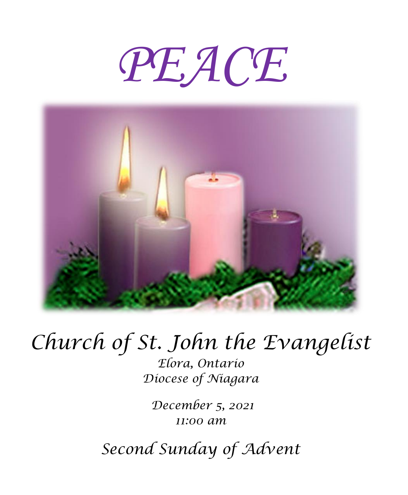# *PEACE*



## *Church of St. John the Evangelist*

*Elora, Ontario Diocese of Niagara*

*December 5, 2021 11:00 am*

*Second Sunday of Advent*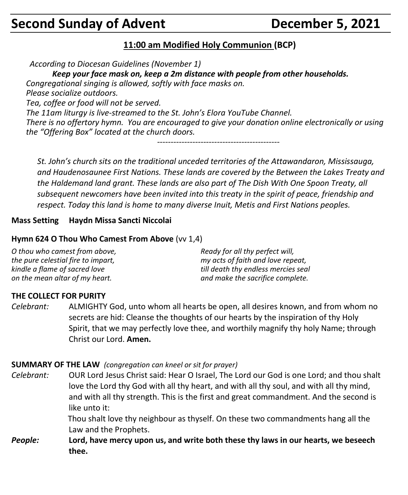## **Second Sunday of Advent Concrete Convertision Concrete December 5, 2021**

#### **11:00 am Modified Holy Communion (BCP)**

*According to Diocesan Guidelines (November 1)*

*Keep your face mask on, keep a 2m distance with people from other households. Congregational singing is allowed, softly with face masks on. Please socialize outdoors. Tea, coffee or food will not be served. The 11am liturgy is live-streamed to the St. John's Elora YouTube Channel. There is no offertory hymn. You are encouraged to give your donation online electronically or using the "Offering Box" located at the church doors. ---------------------------------------------*

*St. John's church sits on the traditional unceded territories of the Attawandaron, Mississauga, and Haudenosaunee First Nations. These lands are covered by the Between the Lakes Treaty and the Haldemand land grant. These lands are also part of The Dish With One Spoon Treaty, all subsequent newcomers have been invited into this treaty in the spirit of peace, friendship and respect. Today this land is home to many diverse Inuit, Metis and First Nations peoples.* 

#### **Mass Setting Haydn Missa Sancti Niccolai**

#### **Hymn 624 O Thou Who Camest From Above** (vv 1,4)

| O thou who camest from above,      | Ready for all thy perfect will,     |
|------------------------------------|-------------------------------------|
| the pure celestial fire to impart, | my acts of faith and love repeat,   |
| kindle a flame of sacred love      | till death thy endless mercies seal |
| on the mean altar of my heart.     | and make the sacrifice complete.    |

#### **THE COLLECT FOR PURITY**

*Celebrant:* ALMIGHTY God, unto whom all hearts be open, all desires known, and from whom no secrets are hid: Cleanse the thoughts of our hearts by the inspiration of thy Holy Spirit, that we may perfectly love thee, and worthily magnify thy holy Name; through Christ our Lord. **Amen.**

#### **SUMMARY OF THE LAW** *(congregation can kneel or sit for prayer)*

*Celebrant:* OUR Lord Jesus Christ said: Hear O Israel, The Lord our God is one Lord; and thou shalt love the Lord thy God with all thy heart, and with all thy soul, and with all thy mind, and with all thy strength. This is the first and great commandment. And the second is like unto it:

> Thou shalt love thy neighbour as thyself. On these two commandments hang all the Law and the Prophets.

*People:* **Lord, have mercy upon us, and write both these thy laws in our hearts, we beseech thee.**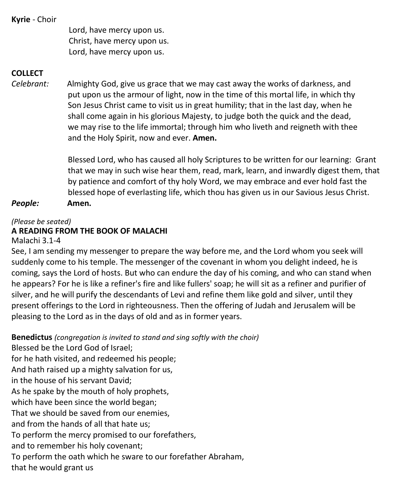**Kyrie** - Choir

Lord, have mercy upon us. Christ, have mercy upon us. Lord, have mercy upon us.

#### **COLLECT**

*Celebrant:* Almighty God, give us grace that we may cast away the works of darkness, and put upon us the armour of light, now in the time of this mortal life, in which thy Son Jesus Christ came to visit us in great humility; that in the last day, when he shall come again in his glorious Majesty, to judge both the quick and the dead, we may rise to the life immortal; through him who liveth and reigneth with thee and the Holy Spirit, now and ever. **Amen.**

> Blessed Lord, who has caused all holy Scriptures to be written for our learning: Grant that we may in such wise hear them, read, mark, learn, and inwardly digest them, that by patience and comfort of thy holy Word, we may embrace and ever hold fast the blessed hope of everlasting life, which thou has given us in our Savious Jesus Christ.

*People:* **Amen.**

#### *(Please be seated)*

#### **A READING FROM THE BOOK OF MALACHI**

Malachi 3.1-4

See, I am sending my messenger to prepare the way before me, and the Lord whom you seek will suddenly come to his temple. The messenger of the covenant in whom you delight indeed, he is coming, says the Lord of hosts. But who can endure the day of his coming, and who can stand when he appears? For he is like a refiner's fire and like fullers' soap; he will sit as a refiner and purifier of silver, and he will purify the descendants of Levi and refine them like gold and silver, until they present offerings to the Lord in righteousness. Then the offering of Judah and Jerusalem will be pleasing to the Lord as in the days of old and as in former years.

**Benedictus** *(congregation is invited to stand and sing softly with the choir)*

Blessed be the Lord God of Israel; for he hath visited, and redeemed his people; And hath raised up a mighty salvation for us, in the house of his servant David; As he spake by the mouth of holy prophets, which have been since the world began; That we should be saved from our enemies, and from the hands of all that hate us; To perform the mercy promised to our forefathers, and to remember his holy covenant; To perform the oath which he sware to our forefather Abraham, that he would grant us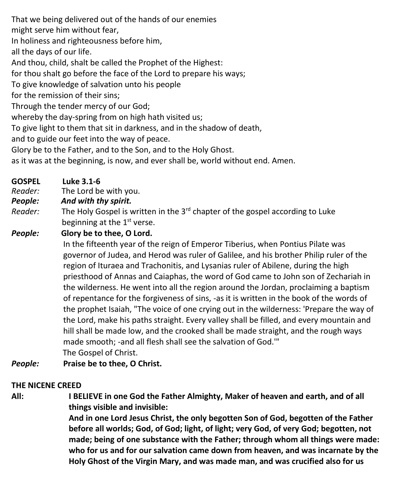That we being delivered out of the hands of our enemies

might serve him without fear,

In holiness and righteousness before him,

all the days of our life.

And thou, child, shalt be called the Prophet of the Highest:

for thou shalt go before the face of the Lord to prepare his ways;

To give knowledge of salvation unto his people

for the remission of their sins;

Through the tender mercy of our God;

whereby the day-spring from on high hath visited us;

To give light to them that sit in darkness, and in the shadow of death,

and to guide our feet into the way of peace.

Glory be to the Father, and to the Son, and to the Holy Ghost.

as it was at the beginning, is now, and ever shall be, world without end. Amen.

**GOSPEL Luke 3.1-6**

*Reader:*The Lord be with you.

*People: And with thy spirit.*

Reader: The Holy Gospel is written in the 3<sup>rd</sup> chapter of the gospel according to Luke beginning at the 1<sup>st</sup> verse.

*People:* **Glory be to thee, O Lord.**

In the fifteenth year of the reign of Emperor Tiberius, when Pontius Pilate was governor of Judea, and Herod was ruler of Galilee, and his brother Philip ruler of the region of Ituraea and Trachonitis, and Lysanias ruler of Abilene, during the high priesthood of Annas and Caiaphas, the word of God came to John son of Zechariah in the wilderness. He went into all the region around the Jordan, proclaiming a baptism of repentance for the forgiveness of sins, -as it is written in the book of the words of the prophet Isaiah, "The voice of one crying out in the wilderness: 'Prepare the way of the Lord, make his paths straight. Every valley shall be filled, and every mountain and hill shall be made low, and the crooked shall be made straight, and the rough ways made smooth; -and all flesh shall see the salvation of God.'" The Gospel of Christ.

*People:* **Praise be to thee, O Christ.**

#### **THE NICENE CREED**

**All: I BELIEVE in one God the Father Almighty, Maker of heaven and earth, and of all things visible and invisible:**

> **And in one Lord Jesus Christ, the only begotten Son of God, begotten of the Father before all worlds; God, of God; light, of light; very God, of very God; begotten, not made; being of one substance with the Father; through whom all things were made: who for us and for our salvation came down from heaven, and was incarnate by the Holy Ghost of the Virgin Mary, and was made man, and was crucified also for us**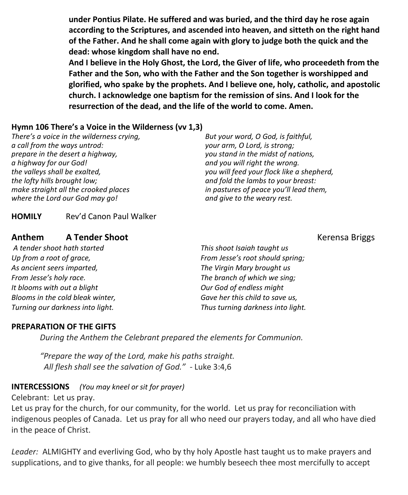**under Pontius Pilate. He suffered and was buried, and the third day he rose again according to the Scriptures, and ascended into heaven, and sitteth on the right hand of the Father. And he shall come again with glory to judge both the quick and the dead: whose kingdom shall have no end.**

**And I believe in the Holy Ghost, the Lord, the Giver of life, who proceedeth from the Father and the Son, who with the Father and the Son together is worshipped and glorified, who spake by the prophets. And I believe one, holy, catholic, and apostolic church. I acknowledge one baptism for the remission of sins. And I look for the resurrection of the dead, and the life of the world to come. Amen.**

#### **Hymn 106 There's a Voice in the Wilderness (vv 1,3)**

*There's a voice in the wilderness crying, a call from the ways untrod: prepare in the desert a highway, a highway for our God! the valleys shall be exalted, the lofty hills brought low; make straight all the crooked places where the Lord our God may go!*

*But your word, O God, is faithful, your arm, O Lord, is strong; you stand in the midst of nations, and you will right the wrong. you will feed your flock like a shepherd, and fold the lambs to your breast: in pastures of peace you'll lead them, and give to the weary rest.*

**HOMILY** Rev'd Canon Paul Walker

#### **Anthem A Tender Shoot A Tender Shoot A Tender Shoot A Tender Shoot A Tender Shoot A Tender Shoot A Tender Shoot A Tender Shoot A Tender Shoot A Tender Shoot A Tender Shoot A Tender Shoot A Tender**

*A tender shoot hath started Up from a root of grace, As ancient seers imparted, From Jesse's holy race. It blooms with out a blight Blooms in the cold bleak winter, Turning our darkness into light.*

*This shoot Isaiah taught us From Jesse's root should spring; The Virgin Mary brought us The branch of which we sing; Our God of endless might Gave her this child to save us, Thus turning darkness into light.*

#### **PREPARATION OF THE GIFTS**

*During the Anthem the Celebrant prepared the elements for Communion.*

*"Prepare the way of the Lord, make his paths straight. All flesh shall see the salvation of God." -* Luke 3:4,6

#### **INTERCESSIONS** *(You may kneel or sit for prayer)*

Celebrant: Let us pray.

Let us pray for the church, for our community, for the world. Let us pray for reconciliation with indigenous peoples of Canada. Let us pray for all who need our prayers today, and all who have died in the peace of Christ.

*Leader:* ALMIGHTY and everliving God, who by thy holy Apostle hast taught us to make prayers and supplications, and to give thanks, for all people: we humbly beseech thee most mercifully to accept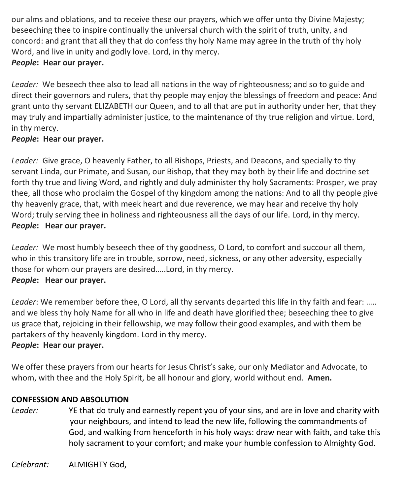our alms and oblations, and to receive these our prayers, which we offer unto thy Divine Majesty; beseeching thee to inspire continually the universal church with the spirit of truth, unity, and concord: and grant that all they that do confess thy holy Name may agree in the truth of thy holy Word, and live in unity and godly love. Lord, in thy mercy.

#### *People***: Hear our prayer.**

*Leader:* We beseech thee also to lead all nations in the way of righteousness; and so to guide and direct their governors and rulers, that thy people may enjoy the blessings of freedom and peace: And grant unto thy servant ELIZABETH our Queen, and to all that are put in authority under her, that they may truly and impartially administer justice, to the maintenance of thy true religion and virtue. Lord, in thy mercy.

#### *People***: Hear our prayer.**

*Leader:* Give grace, O heavenly Father, to all Bishops, Priests, and Deacons, and specially to thy servant Linda, our Primate, and Susan, our Bishop, that they may both by their life and doctrine set forth thy true and living Word, and rightly and duly administer thy holy Sacraments: Prosper, we pray thee, all those who proclaim the Gospel of thy kingdom among the nations: And to all thy people give thy heavenly grace, that, with meek heart and due reverence, we may hear and receive thy holy Word; truly serving thee in holiness and righteousness all the days of our life. Lord, in thy mercy. *People***: Hear our prayer.**

*Leader:* We most humbly beseech thee of thy goodness, O Lord, to comfort and succour all them, who in this transitory life are in trouble, sorrow, need, sickness, or any other adversity, especially those for whom our prayers are desired…..Lord, in thy mercy. *People***: Hear our prayer.**

*Leader*: We remember before thee, O Lord, all thy servants departed this life in thy faith and fear: ….. and we bless thy holy Name for all who in life and death have glorified thee; beseeching thee to give us grace that, rejoicing in their fellowship, we may follow their good examples, and with them be partakers of thy heavenly kingdom. Lord in thy mercy.

#### *People***: Hear our prayer.**

We offer these prayers from our hearts for Jesus Christ's sake, our only Mediator and Advocate, to whom, with thee and the Holy Spirit, be all honour and glory, world without end. **Amen.**

#### **CONFESSION AND ABSOLUTION**

*Leader:* YE that do truly and earnestly repent you of your sins, and are in love and charity with your neighbours, and intend to lead the new life, following the commandments of God, and walking from henceforth in his holy ways: draw near with faith, and take this holy sacrament to your comfort; and make your humble confession to Almighty God.

*Celebrant:* ALMIGHTY God,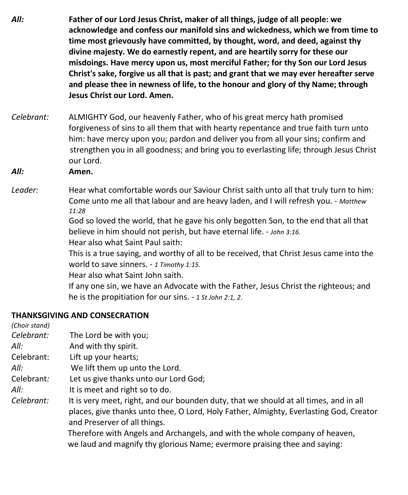- *All:* **Father of our Lord Jesus Christ, maker of all things, judge of all people: we acknowledge and confess our manifold sins and wickedness, which we from time to time most grievously have committed, by thought, word, and deed, against thy divine majesty. We do earnestly repent, and are heartily sorry for these our misdoings. Have mercy upon us, most merciful Father; for thy Son our Lord Jesus Christ's sake, forgive us all that is past; and grant that we may ever hereafter serve and please thee in newness of life, to the honour and glory of thy Name; through Jesus Christ our Lord. Amen.**
- *Celebrant:* ALMIGHTY God, our heavenly Father, who of his great mercy hath promised forgiveness of sins to all them that with hearty repentance and true faith turn unto him: have mercy upon you; pardon and deliver you from all your sins; confirm and strengthen you in all goodness; and bring you to everlasting life; through Jesus Christ our Lord.
- *All:* **Amen.**
- *Leader:* Hear what comfortable words our Saviour Christ saith unto all that truly turn to him: Come unto me all that labour and are heavy laden, and I will refresh you. - *Matthew 11:28*

God so loved the world, that he gave his only begotten Son, to the end that all that believe in him should not perish, but have eternal life. - *John 3:16.*

Hear also what Saint Paul saith:

This is a true saying, and worthy of all to be received, that Christ Jesus came into the world to save sinners. - *1 Timothy 1:15.*

Hear also what Saint John saith.

If any one sin, we have an Advocate with the Father, Jesus Christ the righteous; and he is the propitiation for our sins. - *1 St John 2:1, 2*.

#### **THANKSGIVING AND CONSECRATION**

| (Choir stand) |                                                                                        |
|---------------|----------------------------------------------------------------------------------------|
| Celebrant:    | The Lord be with you;                                                                  |
| All:          | And with thy spirit.                                                                   |
| Celebrant:    | Lift up your hearts;                                                                   |
| All:          | We lift them up unto the Lord.                                                         |
| Celebrant:    | Let us give thanks unto our Lord God;                                                  |
| All:          | It is meet and right so to do.                                                         |
| Celebrant:    | It is very meet, right, and our bounden duty, that we should at all times, and in all  |
|               | places, give thanks unto thee, O Lord, Holy Father, Almighty, Everlasting God, Creator |
|               | and Preserver of all things.                                                           |
|               | Therefore with Angels and Archangels, and with the whole company of heaven,            |
|               | we laud and magnify thy glorious Name; evermore praising thee and saying:              |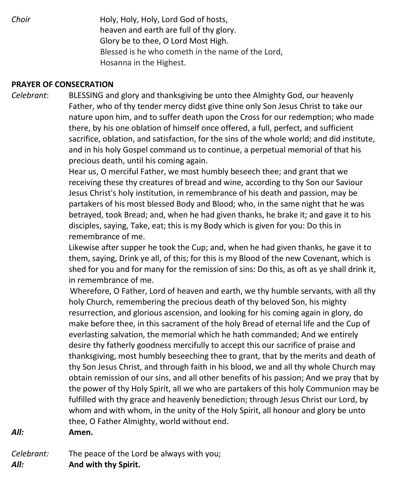*Choir* **Holy, Holy, Holy, Lord God of hosts,**  heaven and earth are full of thy glory. Glory be to thee, O Lord Most High. Blessed is he who cometh in the name of the Lord, Hosanna in the Highest.

#### **PRAYER OF CONSECRATION**

*Celebrant*: BLESSING and glory and thanksgiving be unto thee Almighty God, our heavenly Father, who of thy tender mercy didst give thine only Son Jesus Christ to take our nature upon him, and to suffer death upon the Cross for our redemption; who made there, by his one oblation of himself once offered, a full, perfect, and sufficient sacrifice, oblation, and satisfaction, for the sins of the whole world; and did institute, and in his holy Gospel command us to continue, a perpetual memorial of that his precious death, until his coming again.

> Hear us, O merciful Father, we most humbly beseech thee; and grant that we receiving these thy creatures of bread and wine, according to thy Son our Saviour Jesus Christ's holy institution, in remembrance of his death and passion, may be partakers of his most blessed Body and Blood; who, in the same night that he was betrayed, took Bread; and, when he had given thanks, he brake it; and gave it to his disciples, saying, Take, eat; this is my Body which is given for you: Do this in remembrance of me.

Likewise after supper he took the Cup; and, when he had given thanks, he gave it to them, saying, Drink ye all, of this; for this is my Blood of the new Covenant, which is shed for you and for many for the remission of sins: Do this, as oft as ye shall drink it, in remembrance of me.

 Wherefore, O Father, Lord of heaven and earth, we thy humble servants, with all thy holy Church, remembering the precious death of thy beloved Son, his mighty resurrection, and glorious ascension, and looking for his coming again in glory, do make before thee, in this sacrament of the holy Bread of eternal life and the Cup of everlasting salvation, the memorial which he hath commanded; And we entirely desire thy fatherly goodness mercifully to accept this our sacrifice of praise and thanksgiving, most humbly beseeching thee to grant, that by the merits and death of thy Son Jesus Christ, and through faith in his blood, we and all thy whole Church may obtain remission of our sins, and all other benefits of his passion; And we pray that by the power of thy Holy Spirit, all we who are partakers of this holy Communion may be fulfilled with thy grace and heavenly benediction; through Jesus Christ our Lord, by whom and with whom, in the unity of the Holy Spirit, all honour and glory be unto thee, O Father Almighty, world without end.

*All:* **Amen.**

*Celebrant:* The peace of the Lord be always with you; *All:* **And with thy Spirit.**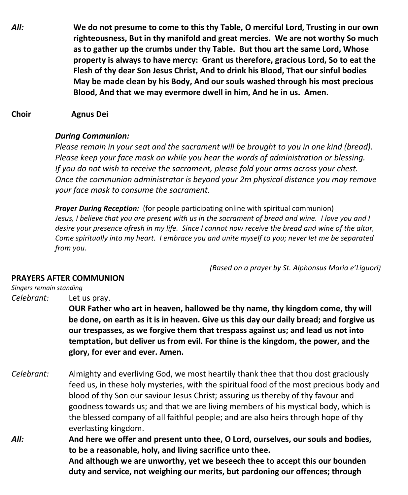*All:* **We do not presume to come to this thy Table, O merciful Lord, Trusting in our own righteousness, But in thy manifold and great mercies. We are not worthy So much as to gather up the crumbs under thy Table. But thou art the same Lord, Whose property is always to have mercy: Grant us therefore, gracious Lord, So to eat the Flesh of thy dear Son Jesus Christ, And to drink his Blood, That our sinful bodies May be made clean by his Body, And our souls washed through his most precious Blood, And that we may evermore dwell in him, And he in us. Amen.**

#### **Choir Agnus Dei**

#### *During Communion:*

*Please remain in your seat and the sacrament will be brought to you in one kind (bread). Please keep your face mask on while you hear the words of administration or blessing. If you do not wish to receive the sacrament, please fold your arms across your chest. Once the communion administrator is beyond your 2m physical distance you may remove your face mask to consume the sacrament.*

*Prayer During Reception:* (for people participating online with spiritual communion) Jesus, I believe that you are present with us in the sacrament of bread and wine. I love you and I desire your presence afresh in my life. Since I cannot now receive the bread and wine of the altar, *Come spiritually into my heart. I embrace you and unite myself to you; never let me be separated from you.*

*(Based on a prayer by St. Alphonsus Maria e'Liguori)*

#### **PRAYERS AFTER COMMUNION**

#### *Singers remain standing*

*Celebrant:* Let us pray. **OUR Father who art in heaven, hallowed be thy name, thy kingdom come, thy will be done, on earth as it is in heaven. Give us this day our daily bread; and forgive us our trespasses, as we forgive them that trespass against us; and lead us not into temptation, but deliver us from evil. For thine is the kingdom, the power, and the glory, for ever and ever. Amen.**

- *Celebrant:* Almighty and everliving God, we most heartily thank thee that thou dost graciously feed us, in these holy mysteries, with the spiritual food of the most precious body and blood of thy Son our saviour Jesus Christ; assuring us thereby of thy favour and goodness towards us; and that we are living members of his mystical body, which is the blessed company of all faithful people; and are also heirs through hope of thy everlasting kingdom.
- *All:* **And here we offer and present unto thee, O Lord, ourselves, our souls and bodies, to be a reasonable, holy, and living sacrifice unto thee. And although we are unworthy, yet we beseech thee to accept this our bounden duty and service, not weighing our merits, but pardoning our offences; through**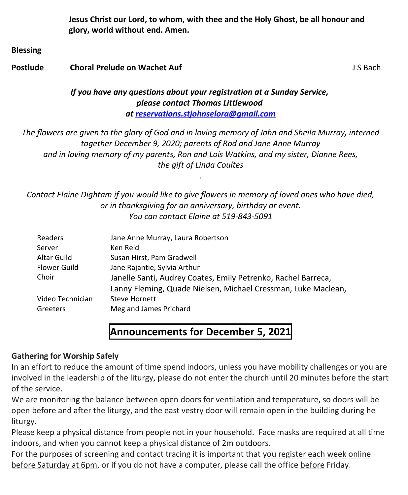**Jesus Christ our Lord, to whom, with thee and the Holy Ghost, be all honour and glory, world without end. Amen.**

**Blessing**

#### **Postlude Choral Prelude on Wachet Auf Choral Prelude on Wachet Auf July 15 Bach**

#### *If you have any questions about your registration at a Sunday Service, please contact Thomas Littlewood at [reservations.stjohnselora@gmail.com](mailto:reservations.stjohnselora@gmail.com)*

The flowers are given to the glory of God and in loving memory of John and Sheila Murray, interned *together December 9, 2020; parents of Rod and Jane Anne Murray and in loving memory of my parents, Ron and Lois Watkins, and my sister, Dianne Rees, the gift of Linda Coultes*

*Contact Elaine Dightam if you would like to give flowers in memory of loved ones who have died, or in thanksgiving for an anniversary, birthday or event. You can contact Elaine at 519-843-5091*

*.*

| Readers          | Jane Anne Murray, Laura Robertson                             |
|------------------|---------------------------------------------------------------|
| Server           | Ken Reid                                                      |
| Altar Guild      | Susan Hirst, Pam Gradwell                                     |
| Flower Guild     | Jane Rajantie, Sylvia Arthur                                  |
| Choir            | Janelle Santi, Audrey Coates, Emily Petrenko, Rachel Barreca, |
|                  | Lanny Fleming, Quade Nielsen, Michael Cressman, Luke Maclean, |
| Video Technician | <b>Steve Hornett</b>                                          |
| Greeters         | Meg and James Prichard                                        |

### **Announcements for December 5, 2021**

#### **Gathering for Worship Safely**

In an effort to reduce the amount of time spend indoors, unless you have mobility challenges or you are involved in the leadership of the liturgy, please do not enter the church until 20 minutes before the start of the service.

We are monitoring the balance between open doors for ventilation and temperature, so doors will be open before and after the liturgy, and the east vestry door will remain open in the building during he liturgy.

Please keep a physical distance from people not in your household. Face masks are required at all time indoors, and when you cannot keep a physical distance of 2m outdoors.

For the purposes of screening and contact tracing it is important that you register each week online before Saturday at 6pm, or if you do not have a computer, please call the office before Friday.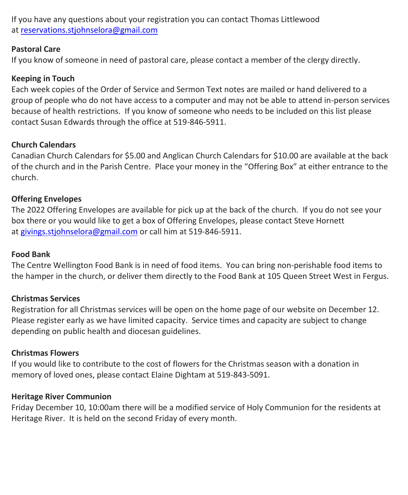If you have any questions about your registration you can contact Thomas Littlewood at [reservations.stjohnselora@gmail.com](mailto:reservations.stjohnselora@gmail.com)

#### **Pastoral Care**

If you know of someone in need of pastoral care, please contact a member of the clergy directly.

#### **Keeping in Touch**

Each week copies of the Order of Service and Sermon Text notes are mailed or hand delivered to a group of people who do not have access to a computer and may not be able to attend in-person services because of health restrictions. If you know of someone who needs to be included on this list please contact Susan Edwards through the office at 519-846-5911.

#### **Church Calendars**

Canadian Church Calendars for \$5.00 and Anglican Church Calendars for \$10.00 are available at the back of the church and in the Parish Centre. Place your money in the "Offering Box" at either entrance to the church.

#### **Offering Envelopes**

The 2022 Offering Envelopes are available for pick up at the back of the church. If you do not see your box there or you would like to get a box of Offering Envelopes, please contact Steve Hornett at [givings.stjohnselora@gmail.com](mailto:givings.stjohnselora@gmail.com) or call him at 519-846-5911.

#### **Food Bank**

The Centre Wellington Food Bank is in need of food items. You can bring non-perishable food items to the hamper in the church, or deliver them directly to the Food Bank at 105 Queen Street West in Fergus.

#### **Christmas Services**

Registration for all Christmas services will be open on the home page of our website on December 12. Please register early as we have limited capacity. Service times and capacity are subject to change depending on public health and diocesan guidelines.

#### **Christmas Flowers**

If you would like to contribute to the cost of flowers for the Christmas season with a donation in memory of loved ones, please contact Elaine Dightam at 519-843-5091.

#### **Heritage River Communion**

Friday December 10, 10:00am there will be a modified service of Holy Communion for the residents at Heritage River. It is held on the second Friday of every month.